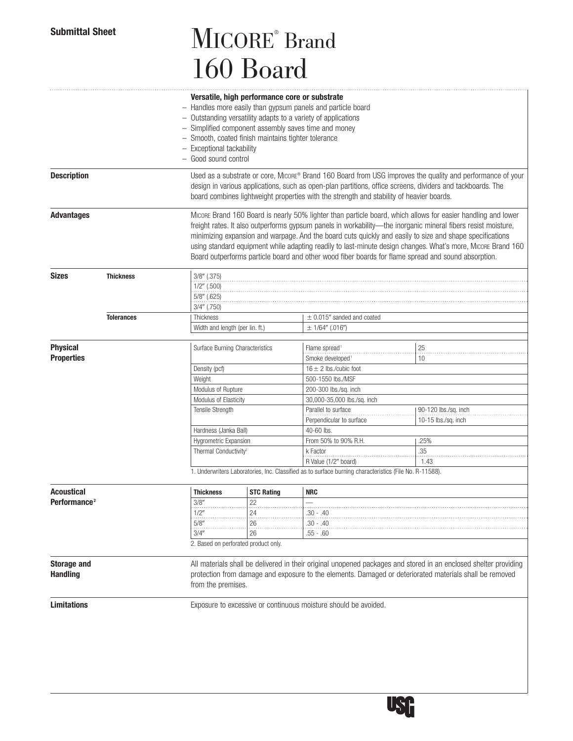# Submittal Sheet **MICORE** Brand 160 Board

|                          |                   | Versatile, high performance core or substrate<br>- Handles more easily than gypsum panels and particle board<br>- Outstanding versatility adapts to a variety of applications<br>- Simplified component assembly saves time and money<br>- Smooth, coated finish maintains tighter tolerance<br>- Exceptional tackability<br>- Good sound control |                                                                                                                                                                                                                                                   |                                |                                                                                                                                                                                                                                                                                                                                                                                                                                                                                                                                                                  |  |  |
|--------------------------|-------------------|---------------------------------------------------------------------------------------------------------------------------------------------------------------------------------------------------------------------------------------------------------------------------------------------------------------------------------------------------|---------------------------------------------------------------------------------------------------------------------------------------------------------------------------------------------------------------------------------------------------|--------------------------------|------------------------------------------------------------------------------------------------------------------------------------------------------------------------------------------------------------------------------------------------------------------------------------------------------------------------------------------------------------------------------------------------------------------------------------------------------------------------------------------------------------------------------------------------------------------|--|--|
| <b>Description</b>       |                   | Used as a substrate or core, Micone® Brand 160 Board from USG improves the quality and performance of your<br>design in various applications, such as open-plan partitions, office screens, dividers and tackboards. The<br>board combines lightweight properties with the strength and stability of heavier boards.                              |                                                                                                                                                                                                                                                   |                                |                                                                                                                                                                                                                                                                                                                                                                                                                                                                                                                                                                  |  |  |
| <b>Advantages</b>        |                   |                                                                                                                                                                                                                                                                                                                                                   |                                                                                                                                                                                                                                                   |                                | Micone Brand 160 Board is nearly 50% lighter than particle board, which allows for easier handling and lower<br>freight rates. It also outperforms gypsum panels in workability—the inorganic mineral fibers resist moisture,<br>minimizing expansion and warpage. And the board cuts quickly and easily to size and shape specifications<br>using standard equipment while adapting readily to last-minute design changes. What's more, MICORE Brand 160<br>Board outperforms particle board and other wood fiber boards for flame spread and sound absorption. |  |  |
| <b>Sizes</b>             | <b>Thickness</b>  | 3/8" (.375)<br>1/2" (.500)<br>5/8" (.625)                                                                                                                                                                                                                                                                                                         |                                                                                                                                                                                                                                                   |                                |                                                                                                                                                                                                                                                                                                                                                                                                                                                                                                                                                                  |  |  |
|                          |                   | $3/4$ " (.750)                                                                                                                                                                                                                                                                                                                                    |                                                                                                                                                                                                                                                   |                                |                                                                                                                                                                                                                                                                                                                                                                                                                                                                                                                                                                  |  |  |
|                          | <b>Tolerances</b> | Thickness                                                                                                                                                                                                                                                                                                                                         |                                                                                                                                                                                                                                                   | $\pm$ 0.015" sanded and coated |                                                                                                                                                                                                                                                                                                                                                                                                                                                                                                                                                                  |  |  |
|                          |                   | Width and length (per lin. ft.)                                                                                                                                                                                                                                                                                                                   |                                                                                                                                                                                                                                                   | $± 1/64''$ (.016")             |                                                                                                                                                                                                                                                                                                                                                                                                                                                                                                                                                                  |  |  |
|                          |                   |                                                                                                                                                                                                                                                                                                                                                   |                                                                                                                                                                                                                                                   |                                |                                                                                                                                                                                                                                                                                                                                                                                                                                                                                                                                                                  |  |  |
| <b>Physical</b>          |                   | Surface Burning Characteristics                                                                                                                                                                                                                                                                                                                   |                                                                                                                                                                                                                                                   | Flame spread <sup>1</sup>      | 25                                                                                                                                                                                                                                                                                                                                                                                                                                                                                                                                                               |  |  |
| <b>Properties</b>        |                   |                                                                                                                                                                                                                                                                                                                                                   |                                                                                                                                                                                                                                                   | Smoke developed                | 10                                                                                                                                                                                                                                                                                                                                                                                                                                                                                                                                                               |  |  |
|                          |                   | Density (pcf)                                                                                                                                                                                                                                                                                                                                     |                                                                                                                                                                                                                                                   | $16 \pm 2$ lbs./cubic foot     |                                                                                                                                                                                                                                                                                                                                                                                                                                                                                                                                                                  |  |  |
|                          |                   | Weight                                                                                                                                                                                                                                                                                                                                            |                                                                                                                                                                                                                                                   | 500-1550 lbs./MSF              |                                                                                                                                                                                                                                                                                                                                                                                                                                                                                                                                                                  |  |  |
|                          |                   | Modulus of Rupture                                                                                                                                                                                                                                                                                                                                |                                                                                                                                                                                                                                                   | 200-300 lbs./sq. inch          |                                                                                                                                                                                                                                                                                                                                                                                                                                                                                                                                                                  |  |  |
|                          |                   | Modulus of Elasticity                                                                                                                                                                                                                                                                                                                             |                                                                                                                                                                                                                                                   | 30,000-35,000 lbs./sq. inch    |                                                                                                                                                                                                                                                                                                                                                                                                                                                                                                                                                                  |  |  |
|                          |                   | Tensile Strength                                                                                                                                                                                                                                                                                                                                  |                                                                                                                                                                                                                                                   | Parallel to surface            | 90-120 lbs./sq. inch                                                                                                                                                                                                                                                                                                                                                                                                                                                                                                                                             |  |  |
|                          |                   |                                                                                                                                                                                                                                                                                                                                                   |                                                                                                                                                                                                                                                   | Perpendicular to surface       | 10-15 $\frac{1}{5}$ lbs./sq. inch                                                                                                                                                                                                                                                                                                                                                                                                                                                                                                                                |  |  |
|                          |                   | Hardness (Janka Ball)                                                                                                                                                                                                                                                                                                                             |                                                                                                                                                                                                                                                   | 40-60 lbs.                     |                                                                                                                                                                                                                                                                                                                                                                                                                                                                                                                                                                  |  |  |
|                          |                   | Hygrometric Expansion                                                                                                                                                                                                                                                                                                                             |                                                                                                                                                                                                                                                   | From 50% to 90% R.H.           | .25%                                                                                                                                                                                                                                                                                                                                                                                                                                                                                                                                                             |  |  |
|                          |                   | Thermal Conductivity <sup>2</sup>                                                                                                                                                                                                                                                                                                                 |                                                                                                                                                                                                                                                   | k Factor                       | .35                                                                                                                                                                                                                                                                                                                                                                                                                                                                                                                                                              |  |  |
|                          |                   |                                                                                                                                                                                                                                                                                                                                                   |                                                                                                                                                                                                                                                   | R Value (1/2" board)           | 1.43                                                                                                                                                                                                                                                                                                                                                                                                                                                                                                                                                             |  |  |
|                          |                   | 1. Underwriters Laboratories, Inc. Classified as to surface burning characteristics (File No. R-11588).                                                                                                                                                                                                                                           |                                                                                                                                                                                                                                                   |                                |                                                                                                                                                                                                                                                                                                                                                                                                                                                                                                                                                                  |  |  |
|                          |                   |                                                                                                                                                                                                                                                                                                                                                   |                                                                                                                                                                                                                                                   |                                |                                                                                                                                                                                                                                                                                                                                                                                                                                                                                                                                                                  |  |  |
| Acoustical               |                   | <b>Thickness</b>                                                                                                                                                                                                                                                                                                                                  | <b>STC Rating</b>                                                                                                                                                                                                                                 | <b>NRC</b>                     |                                                                                                                                                                                                                                                                                                                                                                                                                                                                                                                                                                  |  |  |
| Performance <sup>2</sup> |                   | 3/8"<br>.                                                                                                                                                                                                                                                                                                                                         | 22                                                                                                                                                                                                                                                |                                |                                                                                                                                                                                                                                                                                                                                                                                                                                                                                                                                                                  |  |  |
|                          |                   | 1/2"                                                                                                                                                                                                                                                                                                                                              | 24                                                                                                                                                                                                                                                | .30 - .40                      |                                                                                                                                                                                                                                                                                                                                                                                                                                                                                                                                                                  |  |  |
|                          |                   | 5/8"                                                                                                                                                                                                                                                                                                                                              | 26                                                                                                                                                                                                                                                | $.30 - .40$                    |                                                                                                                                                                                                                                                                                                                                                                                                                                                                                                                                                                  |  |  |
|                          |                   | 3/4"                                                                                                                                                                                                                                                                                                                                              | 26                                                                                                                                                                                                                                                | $.55 - .60$                    |                                                                                                                                                                                                                                                                                                                                                                                                                                                                                                                                                                  |  |  |
|                          |                   | 2. Based on perforated product only.                                                                                                                                                                                                                                                                                                              |                                                                                                                                                                                                                                                   |                                |                                                                                                                                                                                                                                                                                                                                                                                                                                                                                                                                                                  |  |  |
| <b>Storage and</b>       |                   |                                                                                                                                                                                                                                                                                                                                                   |                                                                                                                                                                                                                                                   |                                |                                                                                                                                                                                                                                                                                                                                                                                                                                                                                                                                                                  |  |  |
| <b>Handling</b>          |                   |                                                                                                                                                                                                                                                                                                                                                   | All materials shall be delivered in their original unopened packages and stored in an enclosed shelter providing<br>protection from damage and exposure to the elements. Damaged or deteriorated materials shall be removed<br>from the premises. |                                |                                                                                                                                                                                                                                                                                                                                                                                                                                                                                                                                                                  |  |  |
| <b>Limitations</b>       |                   | Exposure to excessive or continuous moisture should be avoided.                                                                                                                                                                                                                                                                                   |                                                                                                                                                                                                                                                   |                                |                                                                                                                                                                                                                                                                                                                                                                                                                                                                                                                                                                  |  |  |
|                          |                   |                                                                                                                                                                                                                                                                                                                                                   |                                                                                                                                                                                                                                                   |                                |                                                                                                                                                                                                                                                                                                                                                                                                                                                                                                                                                                  |  |  |

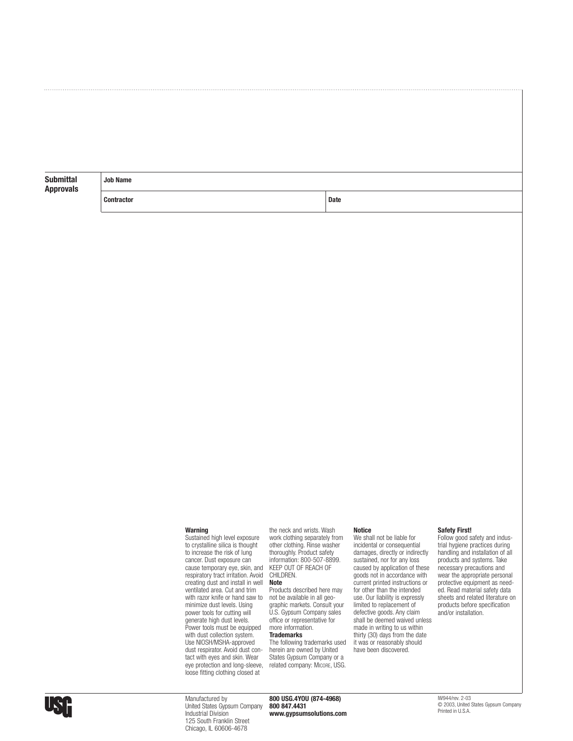| <b>Submittal</b><br><b>Approvals</b> | <b>Job Name</b>   |      |  |  |  |
|--------------------------------------|-------------------|------|--|--|--|
|                                      | <b>Contractor</b> | Date |  |  |  |

### **Warning**

Sustained high level exposure to crystalline silica is thought to increase the risk of lung cancer. Dust exposure can cause temporary eye, skin, and respiratory tract irritation. Avoid creating dust and install in well ventilated area. Cut and trim with razor knife or hand saw to minimize dust levels. Using power tools for cutting will generate high dust levels. Power tools must be equipped with dust collection system. Use NIOSH/MSHA-approved dust respirator. Avoid dust contact with eyes and skin. Wear eye protection and long-sleeve, loose fitting clothing closed at

the neck and wrists. Wash work clothing separately from other clothing. Rinse washer thoroughly. Product safety information: 800-507-8899. KEEP OUT OF REACH OF CHILDREN. **Note**

Products described here may not be available in all geographic markets. Consult your U.S. Gypsum Company sales office or representative for more information. **Trademarks**

# The following trademarks used

herein are owned by United States Gypsum Company or a related company: MICORE, USG.

#### **Notice**

We shall not be liable for incidental or consequential damages, directly or indirectly sustained, nor for any loss caused by application of these goods not in accordance with current printed instructions or for other than the intended use. Our liability is expressly limited to replacement of defective goods. Any claim shall be deemed waived unless made in writing to us within thirty (30) days from the date it was or reasonably should have been discovered.

### **Safety First!**

Follow good safety and industrial hygiene practices during handling and installation of all products and systems. Take necessary precautions and wear the appropriate personal protective equipment as needed. Read material safety data sheets and related literature on products before specification and/or installation.



Manufactured by United States Gypsum Company Industrial Division 125 South Franklin Street Chicago, IL 60606-4678

**800 USG.4YOU (874-4968) 800 847.4431 www.gypsumsolutions.com** IW944/rev. 2-03 © 2003, United States Gypsum Company Printed in U.S.A.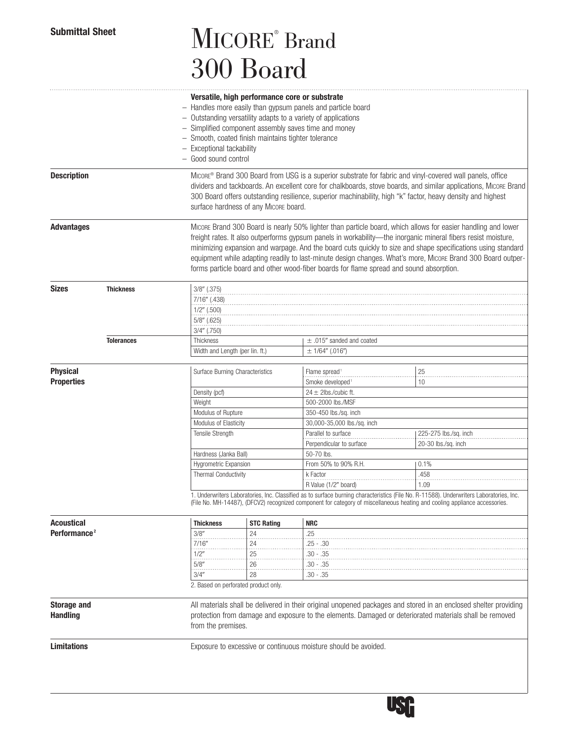# Submittal Sheet **MICORE** Brand 300 Board

|                          |                   | Versatile, high performance core or substrate<br>- Handles more easily than gypsum panels and particle board                                                                                                                |                                                                                                                                                                                                                               |                                                                 |                                                                                                                                         |  |  |
|--------------------------|-------------------|-----------------------------------------------------------------------------------------------------------------------------------------------------------------------------------------------------------------------------|-------------------------------------------------------------------------------------------------------------------------------------------------------------------------------------------------------------------------------|-----------------------------------------------------------------|-----------------------------------------------------------------------------------------------------------------------------------------|--|--|
|                          |                   |                                                                                                                                                                                                                             |                                                                                                                                                                                                                               |                                                                 |                                                                                                                                         |  |  |
|                          |                   | - Outstanding versatility adapts to a variety of applications<br>- Simplified component assembly saves time and money                                                                                                       |                                                                                                                                                                                                                               |                                                                 |                                                                                                                                         |  |  |
|                          |                   | - Smooth, coated finish maintains tighter tolerance                                                                                                                                                                         |                                                                                                                                                                                                                               |                                                                 |                                                                                                                                         |  |  |
|                          |                   | - Exceptional tackability                                                                                                                                                                                                   |                                                                                                                                                                                                                               |                                                                 |                                                                                                                                         |  |  |
|                          |                   | - Good sound control                                                                                                                                                                                                        |                                                                                                                                                                                                                               |                                                                 |                                                                                                                                         |  |  |
| <b>Description</b>       |                   |                                                                                                                                                                                                                             | Micone® Brand 300 Board from USG is a superior substrate for fabric and vinyl-covered wall panels, office<br>dividers and tackboards. An excellent core for chalkboards, stove boards, and similar applications, MICORE Brand |                                                                 |                                                                                                                                         |  |  |
|                          |                   |                                                                                                                                                                                                                             |                                                                                                                                                                                                                               |                                                                 | 300 Board offers outstanding resilience, superior machinability, high "k" factor, heavy density and highest                             |  |  |
|                          |                   | surface hardness of any Micore board.                                                                                                                                                                                       |                                                                                                                                                                                                                               |                                                                 |                                                                                                                                         |  |  |
| <b>Advantages</b>        |                   |                                                                                                                                                                                                                             | Micone Brand 300 Board is nearly 50% lighter than particle board, which allows for easier handling and lower                                                                                                                  |                                                                 |                                                                                                                                         |  |  |
|                          |                   |                                                                                                                                                                                                                             |                                                                                                                                                                                                                               |                                                                 | freight rates. It also outperforms gypsum panels in workability—the inorganic mineral fibers resist moisture,                           |  |  |
|                          |                   |                                                                                                                                                                                                                             |                                                                                                                                                                                                                               |                                                                 | minimizing expansion and warpage. And the board cuts quickly to size and shape specifications using standard                            |  |  |
|                          |                   |                                                                                                                                                                                                                             |                                                                                                                                                                                                                               |                                                                 | equipment while adapting readily to last-minute design changes. What's more, MICORE Brand 300 Board outper-                             |  |  |
|                          |                   |                                                                                                                                                                                                                             | forms particle board and other wood-fiber boards for flame spread and sound absorption.                                                                                                                                       |                                                                 |                                                                                                                                         |  |  |
| <b>Sizes</b>             | <b>Thickness</b>  | $3/8''$ (.375)                                                                                                                                                                                                              |                                                                                                                                                                                                                               |                                                                 |                                                                                                                                         |  |  |
|                          |                   | 7/16" (.438)                                                                                                                                                                                                                |                                                                                                                                                                                                                               |                                                                 |                                                                                                                                         |  |  |
|                          |                   |                                                                                                                                                                                                                             | $1/2$ " (.500)                                                                                                                                                                                                                |                                                                 |                                                                                                                                         |  |  |
|                          |                   | $5/8$ " (.625)<br>$3/4''$ (.750)                                                                                                                                                                                            |                                                                                                                                                                                                                               |                                                                 |                                                                                                                                         |  |  |
|                          | <b>Tolerances</b> | Thickness                                                                                                                                                                                                                   |                                                                                                                                                                                                                               | $\pm$ .015" sanded and coated                                   |                                                                                                                                         |  |  |
|                          |                   | Width and Length (per lin. ft.)                                                                                                                                                                                             |                                                                                                                                                                                                                               | $\pm$ 1/64" (.016")                                             |                                                                                                                                         |  |  |
| <b>Physical</b>          |                   |                                                                                                                                                                                                                             |                                                                                                                                                                                                                               | Flame spread <sup>1</sup>                                       | 25                                                                                                                                      |  |  |
| <b>Properties</b>        |                   | Surface Burning Characteristics                                                                                                                                                                                             |                                                                                                                                                                                                                               | Smoke developed                                                 | 10                                                                                                                                      |  |  |
|                          |                   | Density (pcf)                                                                                                                                                                                                               |                                                                                                                                                                                                                               | $24 \pm 2$ lbs./cubic ft.                                       |                                                                                                                                         |  |  |
|                          |                   | Weight                                                                                                                                                                                                                      |                                                                                                                                                                                                                               | 500-2000 lbs./MSF                                               |                                                                                                                                         |  |  |
|                          |                   | Modulus of Rupture                                                                                                                                                                                                          |                                                                                                                                                                                                                               | 350-450 lbs./sq. inch                                           |                                                                                                                                         |  |  |
|                          |                   | Modulus of Elasticity                                                                                                                                                                                                       |                                                                                                                                                                                                                               | 30,000-35,000 lbs./sq. inch                                     |                                                                                                                                         |  |  |
|                          |                   | Tensile Strength                                                                                                                                                                                                            |                                                                                                                                                                                                                               | Parallel to surface                                             | 225-275 lbs./sq. inch                                                                                                                   |  |  |
|                          |                   |                                                                                                                                                                                                                             |                                                                                                                                                                                                                               | Perpendicular to surface                                        | 20-30 lbs./sq. inch                                                                                                                     |  |  |
|                          |                   | Hardness (Janka Ball)                                                                                                                                                                                                       |                                                                                                                                                                                                                               | 50-70 lbs.                                                      |                                                                                                                                         |  |  |
|                          |                   | Hygrometric Expansion                                                                                                                                                                                                       |                                                                                                                                                                                                                               | From 50% to 90% R.H.                                            | 0.1%                                                                                                                                    |  |  |
|                          |                   | <b>Thermal Conductivity</b>                                                                                                                                                                                                 |                                                                                                                                                                                                                               | k Factor<br>R Value (1/2" board)                                | .458<br>1.09                                                                                                                            |  |  |
|                          |                   |                                                                                                                                                                                                                             |                                                                                                                                                                                                                               |                                                                 | 1. Underwriters Laboratories, Inc. Classified as to surface burning characteristics (File No. R-11588). Underwriters Laboratories, Inc. |  |  |
|                          |                   |                                                                                                                                                                                                                             |                                                                                                                                                                                                                               |                                                                 | (File No. MH-14487), (DFCV2) recognized component for category of miscellaneous heating and cooling appliance accessories.              |  |  |
| Acoustical               |                   | <b>Thickness</b>                                                                                                                                                                                                            | <b>STC Rating</b>                                                                                                                                                                                                             | <b>NRC</b>                                                      |                                                                                                                                         |  |  |
| Performance <sup>2</sup> |                   | 3/8''                                                                                                                                                                                                                       | 24                                                                                                                                                                                                                            | .25                                                             |                                                                                                                                         |  |  |
|                          |                   | 7/16''                                                                                                                                                                                                                      | $^{24}$                                                                                                                                                                                                                       | $.25 - .30$                                                     |                                                                                                                                         |  |  |
|                          |                   | 1/2"<br>5/8''                                                                                                                                                                                                               | 25<br>26                                                                                                                                                                                                                      | $.30 - .35$<br>$.30 - .35$                                      |                                                                                                                                         |  |  |
|                          |                   | 3/4''                                                                                                                                                                                                                       | 28                                                                                                                                                                                                                            | $.30 - .35$                                                     |                                                                                                                                         |  |  |
|                          |                   |                                                                                                                                                                                                                             | 2. Based on perforated product only.                                                                                                                                                                                          |                                                                 |                                                                                                                                         |  |  |
| <b>Storage and</b>       |                   |                                                                                                                                                                                                                             |                                                                                                                                                                                                                               |                                                                 |                                                                                                                                         |  |  |
| <b>Handling</b>          |                   | All materials shall be delivered in their original unopened packages and stored in an enclosed shelter providing<br>protection from damage and exposure to the elements. Damaged or deteriorated materials shall be removed |                                                                                                                                                                                                                               |                                                                 |                                                                                                                                         |  |  |
|                          |                   | from the premises.                                                                                                                                                                                                          |                                                                                                                                                                                                                               |                                                                 |                                                                                                                                         |  |  |
| <b>Limitations</b>       |                   |                                                                                                                                                                                                                             |                                                                                                                                                                                                                               | Exposure to excessive or continuous moisture should be avoided. |                                                                                                                                         |  |  |
|                          |                   |                                                                                                                                                                                                                             |                                                                                                                                                                                                                               |                                                                 |                                                                                                                                         |  |  |
|                          |                   |                                                                                                                                                                                                                             |                                                                                                                                                                                                                               |                                                                 |                                                                                                                                         |  |  |